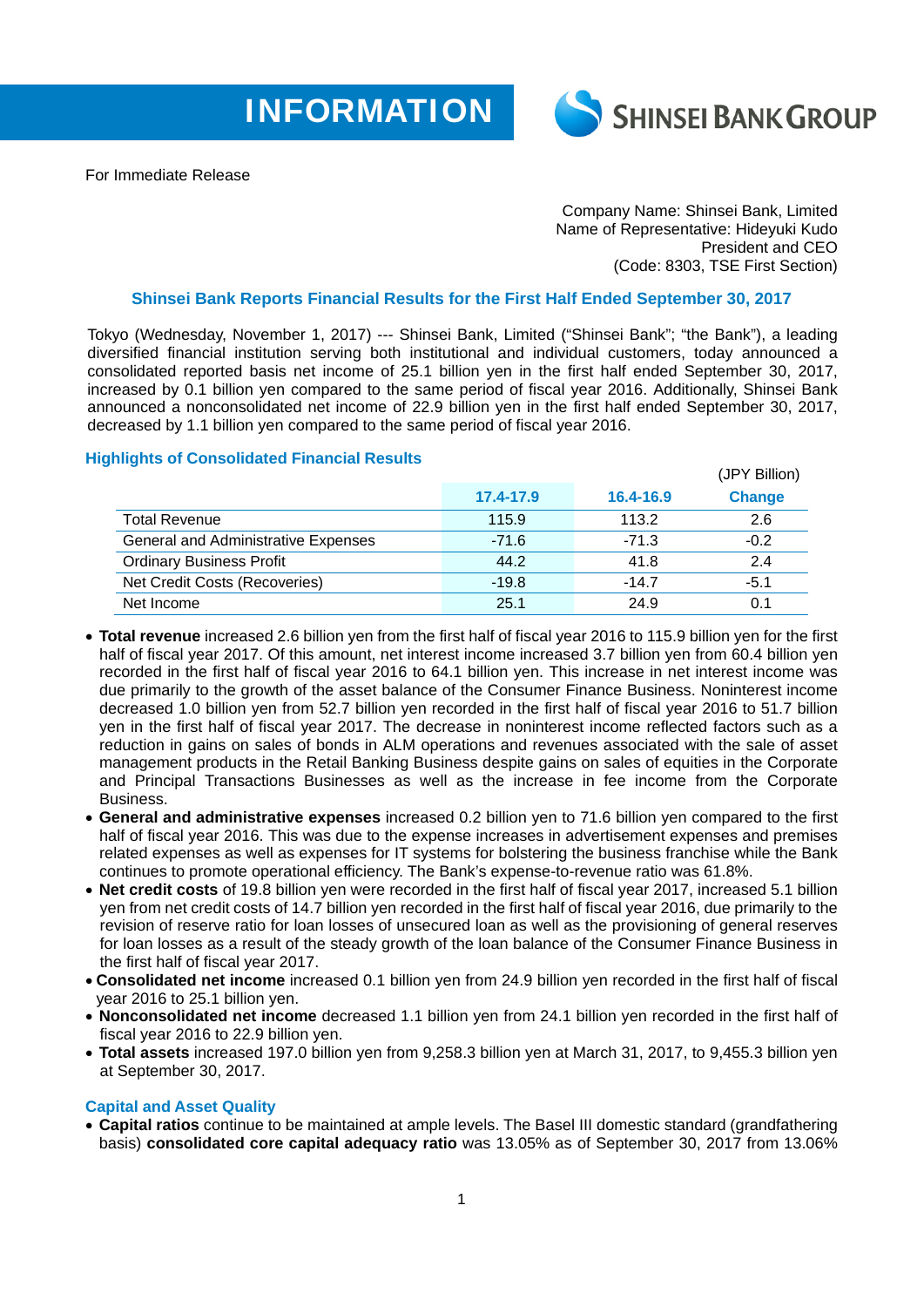



For Immediate Release

Company Name: Shinsei Bank, Limited Name of Representative: Hideyuki Kudo President and CEO (Code: 8303, TSE First Section)

## **Shinsei Bank Reports Financial Results for the First Half Ended September 30, 2017**

Tokyo (Wednesday, November 1, 2017) --- Shinsei Bank, Limited ("Shinsei Bank"; "the Bank"), a leading diversified financial institution serving both institutional and individual customers, today announced a consolidated reported basis net income of 25.1 billion yen in the first half ended September 30, 2017, increased by 0.1 billion yen compared to the same period of fiscal year 2016. Additionally, Shinsei Bank announced a nonconsolidated net income of 22.9 billion yen in the first half ended September 30, 2017, decreased by 1.1 billion yen compared to the same period of fiscal year 2016.

## **Highlights of Consolidated Financial Results**

| <b>Ingine of concentration</b> Financial Roberto |           |           | (JPY Billion) |
|--------------------------------------------------|-----------|-----------|---------------|
|                                                  | 17.4-17.9 | 16.4-16.9 | <b>Change</b> |
| <b>Total Revenue</b>                             | 115.9     | 113.2     | 2.6           |
| General and Administrative Expenses              | $-71.6$   | $-71.3$   | $-0.2$        |
| <b>Ordinary Business Profit</b>                  | 44.2      | 41.8      | 2.4           |
| Net Credit Costs (Recoveries)                    | $-19.8$   | $-14.7$   | $-5.1$        |
| Net Income                                       | 25.1      | 24.9      | 0.1           |

- **Total revenue** increased 2.6 billion yen from the first half of fiscal year 2016 to 115.9 billion yen for the first half of fiscal year 2017. Of this amount, net interest income increased 3.7 billion yen from 60.4 billion yen recorded in the first half of fiscal year 2016 to 64.1 billion yen. This increase in net interest income was due primarily to the growth of the asset balance of the Consumer Finance Business. Noninterest income decreased 1.0 billion yen from 52.7 billion yen recorded in the first half of fiscal year 2016 to 51.7 billion yen in the first half of fiscal year 2017. The decrease in noninterest income reflected factors such as a reduction in gains on sales of bonds in ALM operations and revenues associated with the sale of asset management products in the Retail Banking Business despite gains on sales of equities in the Corporate and Principal Transactions Businesses as well as the increase in fee income from the Corporate **Busingss**
- **General and administrative expenses** increased 0.2 billion yen to 71.6 billion yen compared to the first half of fiscal year 2016. This was due to the expense increases in advertisement expenses and premises related expenses as well as expenses for IT systems for bolstering the business franchise while the Bank continues to promote operational efficiency. The Bank's expense-to-revenue ratio was 61.8%.
- **Net credit costs** of 19.8 billion yen were recorded in the first half of fiscal year 2017, increased 5.1 billion yen from net credit costs of 14.7 billion yen recorded in the first half of fiscal year 2016, due primarily to the revision of reserve ratio for loan losses of unsecured loan as well as the provisioning of general reserves for loan losses as a result of the steady growth of the loan balance of the Consumer Finance Business in the first half of fiscal year 2017.
- **Consolidated net income** increased 0.1 billion yen from 24.9 billion yen recorded in the first half of fiscal year 2016 to 25.1 billion yen.
- **Nonconsolidated net income** decreased 1.1 billion yen from 24.1 billion yen recorded in the first half of fiscal year 2016 to 22.9 billion yen.
- **Total assets** increased 197.0 billion yen from 9,258.3 billion yen at March 31, 2017, to 9,455.3 billion yen at September 30, 2017.

## **Capital and Asset Quality**

 **Capital ratios** continue to be maintained at ample levels. The Basel III domestic standard (grandfathering basis) **consolidated core capital adequacy ratio** was 13.05% as of September 30, 2017 from 13.06%